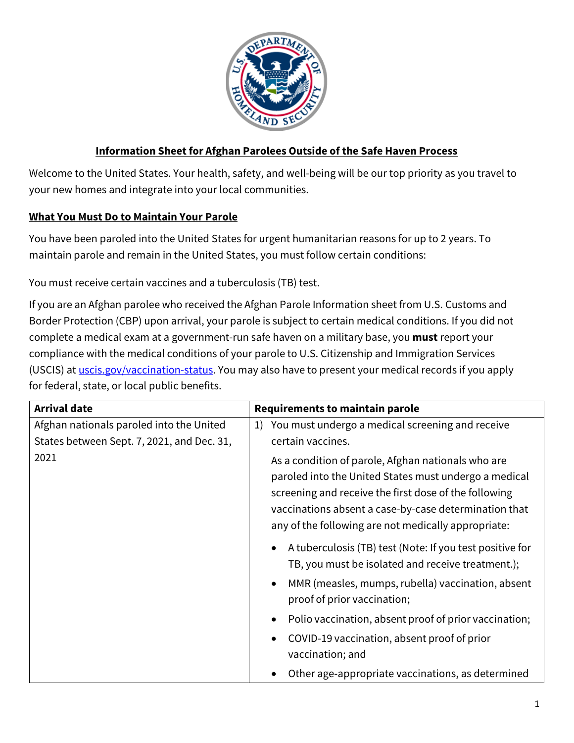

## **Information Sheet for Afghan Parolees Outside of the Safe Haven Process**

Welcome to the United States. Your health, safety, and well-being will be our top priority as you travel to your new homes and integrate into your local communities.

### **What You Must Do to Maintain Your Parole**

You have been paroled into the United States for urgent humanitarian reasons for up to 2 years. To maintain parole and remain in the United States, you must follow certain conditions:

You must receive certain vaccines and a tuberculosis (TB) test.

If you are an Afghan parolee who received the Afghan Parole Information sheet from U.S. Customs and Border Protection (CBP) upon arrival, your parole is subject to certain medical conditions. If you did not complete a medical exam at a government-run safe haven on a military base, you **must** report your compliance with the medical conditions of your parole to U.S. Citizenship and Immigration Services (USCIS) at [uscis.gov/vaccination-status.](http://www.uscis.gov/vaccination-status.) You may also have to present your medical records if you apply for federal, state, or local public benefits.

| <b>Arrival date</b>                        | <b>Requirements to maintain parole</b>                                                                                                                                                                                                                                               |
|--------------------------------------------|--------------------------------------------------------------------------------------------------------------------------------------------------------------------------------------------------------------------------------------------------------------------------------------|
| Afghan nationals paroled into the United   | You must undergo a medical screening and receive<br>1)                                                                                                                                                                                                                               |
| States between Sept. 7, 2021, and Dec. 31, | certain vaccines.                                                                                                                                                                                                                                                                    |
| 2021                                       | As a condition of parole, Afghan nationals who are<br>paroled into the United States must undergo a medical<br>screening and receive the first dose of the following<br>vaccinations absent a case-by-case determination that<br>any of the following are not medically appropriate: |
|                                            | A tuberculosis (TB) test (Note: If you test positive for<br>$\bullet$<br>TB, you must be isolated and receive treatment.);                                                                                                                                                           |
|                                            | MMR (measles, mumps, rubella) vaccination, absent<br>$\bullet$<br>proof of prior vaccination;                                                                                                                                                                                        |
|                                            | Polio vaccination, absent proof of prior vaccination;<br>$\bullet$                                                                                                                                                                                                                   |
|                                            | COVID-19 vaccination, absent proof of prior<br>$\bullet$<br>vaccination; and                                                                                                                                                                                                         |
|                                            | Other age-appropriate vaccinations, as determined                                                                                                                                                                                                                                    |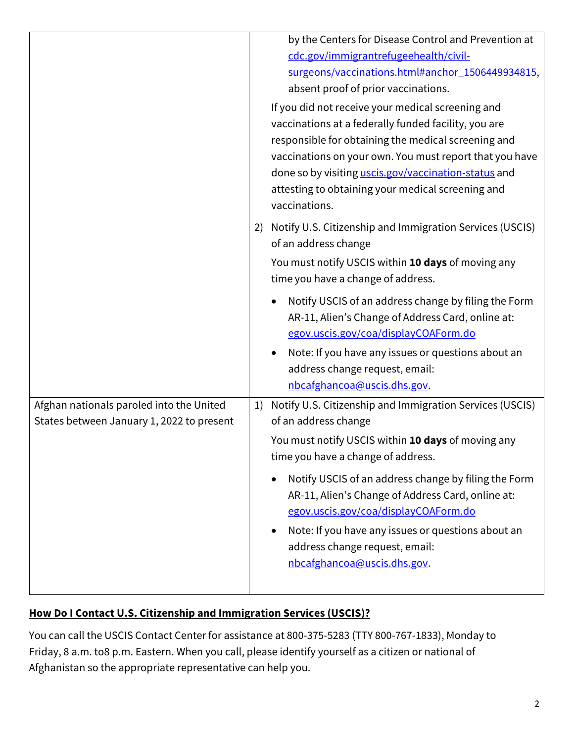|                                                                                       | by the Centers for Disease Control and Prevention at<br>cdc.gov/immigrantrefugeehealth/civil-<br>surgeons/vaccinations.html#anchor 1506449934815,<br>absent proof of prior vaccinations.<br>If you did not receive your medical screening and<br>vaccinations at a federally funded facility, you are<br>responsible for obtaining the medical screening and<br>vaccinations on your own. You must report that you have |
|---------------------------------------------------------------------------------------|-------------------------------------------------------------------------------------------------------------------------------------------------------------------------------------------------------------------------------------------------------------------------------------------------------------------------------------------------------------------------------------------------------------------------|
|                                                                                       | done so by visiting <i>uscis.gov/vaccination-status</i> and<br>attesting to obtaining your medical screening and<br>vaccinations.                                                                                                                                                                                                                                                                                       |
|                                                                                       | Notify U.S. Citizenship and Immigration Services (USCIS)<br>2)<br>of an address change                                                                                                                                                                                                                                                                                                                                  |
|                                                                                       | You must notify USCIS within 10 days of moving any<br>time you have a change of address.                                                                                                                                                                                                                                                                                                                                |
|                                                                                       | Notify USCIS of an address change by filing the Form<br>AR-11, Alien's Change of Address Card, online at:<br>egov.uscis.gov/coa/displayCOAForm.do                                                                                                                                                                                                                                                                       |
|                                                                                       | Note: If you have any issues or questions about an<br>address change request, email:<br>nbcafghancoa@uscis.dhs.gov.                                                                                                                                                                                                                                                                                                     |
| Afghan nationals paroled into the United<br>States between January 1, 2022 to present | Notify U.S. Citizenship and Immigration Services (USCIS)<br>1)<br>of an address change                                                                                                                                                                                                                                                                                                                                  |
|                                                                                       | You must notify USCIS within 10 days of moving any<br>time you have a change of address.                                                                                                                                                                                                                                                                                                                                |
|                                                                                       | Notify USCIS of an address change by filing the Form<br>$\bullet$<br>AR-11, Alien's Change of Address Card, online at:<br>egov.uscis.gov/coa/displayCOAForm.do                                                                                                                                                                                                                                                          |
|                                                                                       | Note: If you have any issues or questions about an<br>$\bullet$<br>address change request, email:<br>nbcafghancoa@uscis.dhs.gov.                                                                                                                                                                                                                                                                                        |
|                                                                                       |                                                                                                                                                                                                                                                                                                                                                                                                                         |

# **How Do I Contact U.S. Citizenship and Immigration Services (USCIS)?**

You can call the USCIS Contact Center for assistance at 800-375-5283 (TTY 800-767-1833), Monday to Friday, 8 a.m. to8 p.m. Eastern. When you call, please identify yourself as a citizen or national of Afghanistan so the appropriate representative can help you.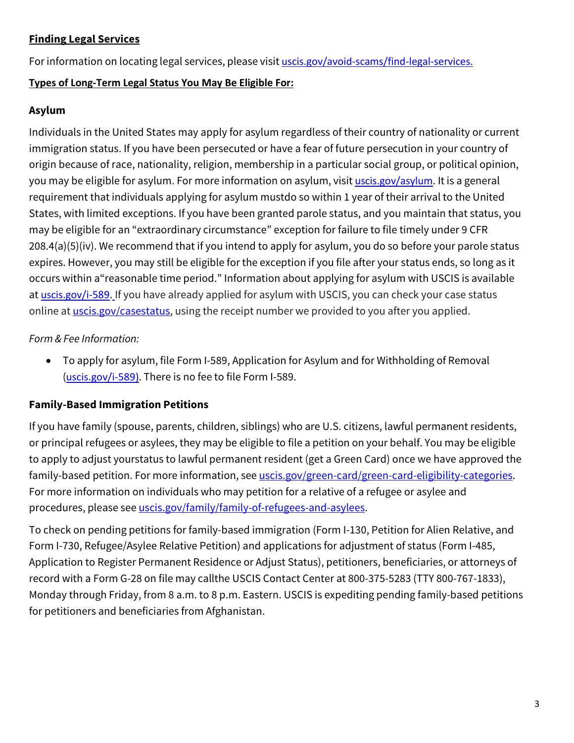## **Finding Legal Services**

For information on locating legal services, please visit [uscis.gov/avoid-scams/find-legal-services.](http://www.uscis.gov/avoid-scams/find-legal-services.)

#### **Types of Long-Term Legal Status You May Be Eligible For:**

#### **Asylum**

Individuals in the United States may apply for asylum regardless of their country of nationality or current immigration status. If you have been persecuted or have a fear of future persecution in your country of origin because of race, nationality, religion, membership in a particular social group, or political opinion, you may be eligible for asylum. For more information on asylum, visit [uscis.gov/asylum](http://www.uscis.gov/asylum.)[. I](http://www.uscis.gov/asylum.)t is a general requirement that individuals applying for asylum mustdo so within 1 year of their arrival to the United States, with limited exceptions. If you have been granted parole status, and you maintain that status, you may be eligible for an "extraordinary circumstance" exception for failure to file timely under 9 CFR 208.4(a)(5)(iv). We recommend that if you intend to apply for asylum, you do so before your parole status expires. However, you may still be eligible for the exception if you file after your status ends, so long as it occurs within a "reasonable time period." Information about applying for asylum with USCIS is available at [uscis.gov/i-589](http://www.uscis.gov/i-589.). If you have already applied for asylum with USCIS, you can check your case status online a[t uscis.gov/casestatus, u](http://www.uscis.gov/casestatus)sing the receipt number we provided to you after you applied.

## *Form & Fee Information:*

• To apply for asylum, file Form I-589, Application for Asylum and for Withholding of Removal ([uscis.gov/i-589\)](https://www.uscis.gov/i-589). There is no fee to file Form I-589.

### **Family-Based Immigration Petitions**

If you have family (spouse, parents, children, siblings) who are U.S. citizens, lawful permanent residents, or principal refugees or asylees, they may be eligible to file a petition on your behalf. You may be eligible to apply to adjust yourstatus to lawful permanent resident (get a Green Card) once we have approved the family-based petition. For more information, see uscis.gov/green-card/green-card-eligibility-categories. For more information on individuals who may petition for a relative of a refugee or asylee and procedures, please see [uscis.gov/family/family-of-refugees-and-asylees.](https://www.uscis.gov/family/family-of-refugees-and-asylees)

To check on pending petitions for family-based immigration (Form I-130, Petition for Alien Relative, and Form I-730, Refugee/Asylee Relative Petition) and applications for adjustment of status (Form I-485, Application to Register Permanent Residence or Adjust Status), petitioners, beneficiaries, or attorneys of record with a Form G-28 on file may callthe USCIS Contact Center at 800-375-5283 (TTY 800-767-1833), Monday through Friday, from 8 a.m. to 8 p.m. Eastern. USCIS is expediting pending family-based petitions for petitioners and beneficiaries from Afghanistan.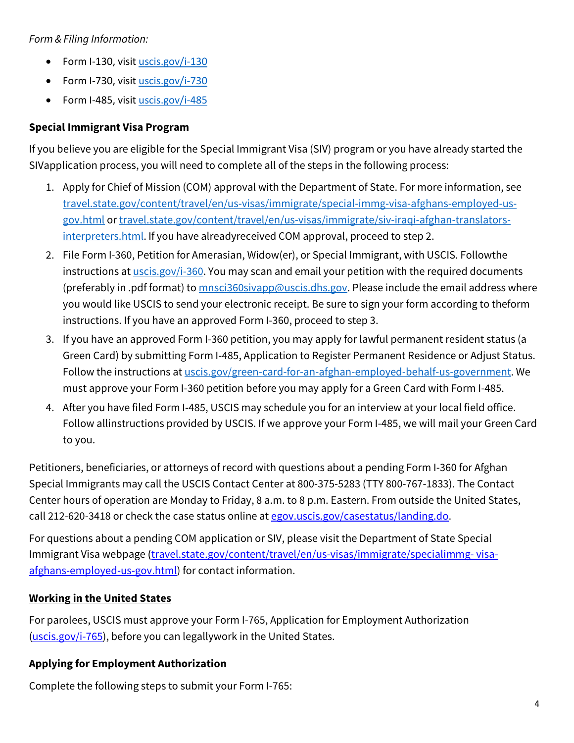## *Form & Filing Information:*

- Form I-130, visit [uscis.gov/i-130](https://www.uscis.gov/i-130)
- Form I-730, visit [uscis.gov/i-730](https://www.uscis.gov/i-730)
- Form I-485, visit [uscis.gov/i-485](https://www.uscis.gov/i-485)

## **Special Immigrant Visa Program**

If you believe you are eligible for the Special Immigrant Visa (SIV) program or you have already started the SIVapplication process, you will need to complete all of the steps in the following process:

- 1. Apply for Chief of Mission (COM) approval with the Department of State. For more information, see [travel.state.gov/content/travel/en/us-visas/immigrate/special-immg-visa-afghans-employed-us](https://travel.state.gov/content/travel/en/us-visas/immigrate/special-immg-visa-afghans-employed-us-gov.html)[gov.html](https://travel.state.gov/content/travel/en/us-visas/immigrate/special-immg-visa-afghans-employed-us-gov.html) or [travel.state.gov/content/travel/en/us-visas/immigrate/siv-iraqi-afghan-translators](https://travel.state.gov/content/travel/en/us-visas/immigrate/siv-iraqi-afghan-translators-interpreters.html)[interpreters.html. I](https://travel.state.gov/content/travel/en/us-visas/immigrate/siv-iraqi-afghan-translators-interpreters.html)f you have alreadyreceived COM approval, proceed to step 2.
- 2. File Form I-360, Petition for Amerasian, Widow(er), or Special Immigrant, with USCIS. Followthe instructions at **uscis.gov/i-360**. You may scan and email your petition with the required documents (preferably in .pdf format) to  $msci360sivapp@uscis.dhs.gov$ . Please include the email address where you would like USCIS to send your electronic receipt. Be sure to sign your form according to theform instructions. If you have an approved Form I-360, proceed to step 3.
- 3. If you have an approved Form I-360 petition, you may apply for lawful permanent resident status (a Green Card) by submitting Form I-485, Application to Register Permanent Residence or Adjust Status. Follow the instructions at [uscis.gov/green-card-for-an-afghan-employed-behalf-us-government. W](https://www.uscis.gov/green-card-for-an-afghan-employed-behalf-us-government)e must approve your Form I-360 petition before you may apply for a Green Card with Form I-485.
- 4. After you have filed Form I-485, USCIS may schedule you for an interview at your local field office. Follow allinstructions provided by USCIS. If we approve your Form I-485, we will mail your Green Card to you.

Petitioners, beneficiaries, or attorneys of record with questions about a pending Form I-360 for Afghan Special Immigrants may call the USCIS Contact Center at 800-375-5283 (TTY 800-767-1833). The Contact Center hours of operation are Monday to Friday, 8 a.m. to 8 p.m. Eastern. From outside the United States, call 212-620-3418 or check the case status online at [egov.uscis.gov/casestatus/landing.do](https://egov.uscis.gov/casestatus/landing.do)[.](https://egov.uscis.gov/casestatus/landing.do)

For questions about a pending COM application or SIV, please visit the Department of State Special Immigrant Visa webpage ([travel.state.gov/content/travel/en/us-visas/immigrate/specialimmg-](https://travel.state.gov/content/travel/en/us-visas/immigrate/special-immg-visa-afghans-employed-us-gov.html) [visa](https://travel.state.gov/content/travel/en/us-visas/immigrate/special-immg-visa-afghans-employed-us-gov.html)[afghans-employed-us-gov.html\)](https://travel.state.gov/content/travel/en/us-visas/immigrate/special-immg-visa-afghans-employed-us-gov.html) for contact information.

### **Working in the United States**

For parolees, USCIS must approve your Form I-765, Application for Employment Authorization [\(uscis.gov/i-765\)](https://www.uscis.gov/i-765), before you can legallywork in the United States.

### **Applying for Employment Authorization**

Complete the following steps to submit your Form I-765: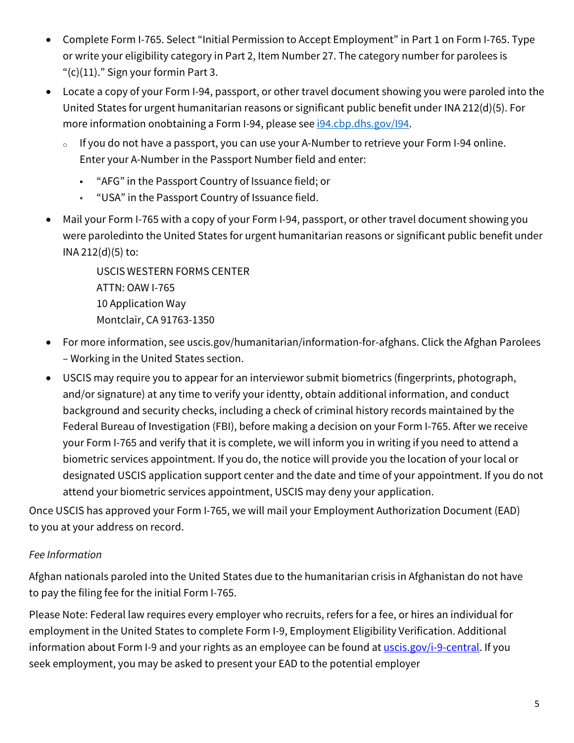- Complete Form I-765. Select "Initial Permission to Accept Employment" in Part 1 on Form I-765. Type or write your eligibility category in Part 2, Item Number 27. The category number for parolees is " $(c)(11)$ ." Sign your formin Part 3.
- Locate a copy of your Form I-94, passport, or other travel document showing you were paroled into the United States for urgent humanitarian reasons or significant public benefit under INA 212(d)(5). For more information onobtaining a Form I-94, please see **i94.cbp.dhs.gov/I94**.
	- <sup>o</sup> If you do not have a passport, you can use your A-Number to retrieve your Form I-94 online. Enter your A-Number in the Passport Number field and enter:
		- "AFG" in the Passport Country of Issuance field; or
		- "USA" in the Passport Country of Issuance field.
- Mail your Form I-765 with a copy of your Form I-94, passport, or other travel document showing you were paroledinto the United States for urgent humanitarian reasons or significant public benefit under INA 212(d)(5) to:

USCIS WESTERN FORMS CENTER ATTN: OAW I-765 10 Application Way Montclair, CA 91763-1350

- For more information, se[e uscis.gov/humanitarian/information-for-afghans. C](https://www.uscis.gov/humanitarian/information-for-afghans)lick the Afghan Parolees – Working in the United States section.
- USCIS may require you to appear for an interviewor submit biometrics (fingerprints, photograph, and/or signature) at any time to verify your identty, obtain additional information, and conduct background and security checks, including a check of criminal history records maintained by the Federal Bureau of Investigation (FBI), before making a decision on your Form I-765. After we receive your Form I-765 and verify that it is complete, we will inform you in writing if you need to attend a biometric services appointment. If you do, the notice will provide you the location of your local or designated USCIS application support center and the date and time of your appointment. If you do not attend your biometric services appointment, USCIS may deny your application.

Once USCIS has approved your Form I-765, we will mail your Employment Authorization Document (EAD) to you at your address on record.

# *Fee Information*

Afghan nationals paroled into the United States due to the humanitarian crisis in Afghanistan do not have to pay the filing fee for the initial Form I-765.

Please Note: Federal law requires every employer who recruits, refers for a fee, or hires an individual for employment in the United States to complete Form I-9, Employment Eligibility Verification. Additional information about Form I-9 and your rights as an employee can be found at [uscis.gov/i-9-central.](https://www.uscis.gov/i-9-central/employee-rights-and-resources/employee-rights) If you seek employment, you may be asked to present your EAD to the potential employer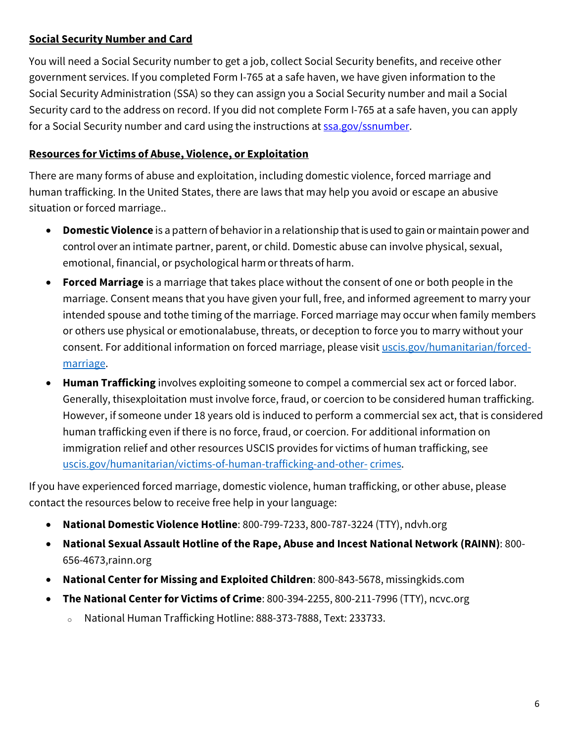### **Social Security Number and Card**

You will need a Social Security number to get a job, collect Social Security benefits, and receive other government services. If you completed Form I-765 at a safe haven, we have given information to the Social Security Administration (SSA) so they can assign you a Social Security number and mail a Social Security card to the address on record. If you did not complete Form I-765 at a safe haven, you can apply for a Social Security number and card using the instructions at **SSA.gov/SSNUMber.** 

## **Resources for Victims of Abuse, Violence, or Exploitation**

There are many forms of abuse and exploitation, including domestic violence, forced marriage and human trafficking. In the United States, there are laws that may help you avoid or escape an abusive situation or forced marriage..

- **Domestic Violence** is a pattern of behaviorin a relationship thatis used to gain or maintain power and control over an intimate partner, parent, or child. Domestic abuse can involve physical, sexual, emotional, financial, or psychological harm orthreats of harm.
- **Forced Marriage** is a marriage that takes place without the consent of one or both people in the marriage. Consent means that you have given your full, free, and informed agreement to marry your intended spouse and tothe timing of the marriage. Forced marriage may occur when family members or others use physical or emotionalabuse, threats, or deception to force you to marry without your consent. For additional information on forced marriage, please visit [uscis.gov/humanitarian/forced](https://www.uscis.gov/humanitarian/forced-marriage)[marriage.](https://www.uscis.gov/humanitarian/forced-marriage)
- **Human Trafficking** involves exploiting someone to compel a commercial sex act or forced labor. Generally, thisexploitation must involve force, fraud, or coercion to be considered human trafficking. However, if someone under 18 years old is induced to perform a commercial sex act, that is considered human trafficking even if there is no force, fraud, or coercion. For additional information on immigration relief and other resources USCIS provides for victims of human trafficking, see [uscis.gov/humanitarian/victims-of-human-trafficking-and-other-](https://www.uscis.gov/humanitarian/victims-of-human-trafficking-and-other-crimes) [crimes.](https://www.uscis.gov/humanitarian/victims-of-human-trafficking-and-other-crimes)

If you have experienced forced marriage, domestic violence, human trafficking, or other abuse, please contact the resources below to receive free help in your language:

- **National Domestic Violence Hotline**: 800-799-7233, 800-787-3224 (TTY), [ndvh.org](http://www.ndvh.org/)
- **National Sexual Assault Hotline of the Rape, Abuse and Incest National Network (RAINN)**: 800- 656-4673[,rainn.org](http://www.rainn.org/)
- **National Center for Missing and Exploited Children**: 800-843-5678, [missingkids.com](http://www.missingkids.com/)
- **The National Center for Victims of Crime**: 800-394-2255, 800-211-7996 (TTY), [ncvc.org](http://www.ncvc.org/)
	- National Human Trafficking Hotline: 888-373-7888, Text: 233733.